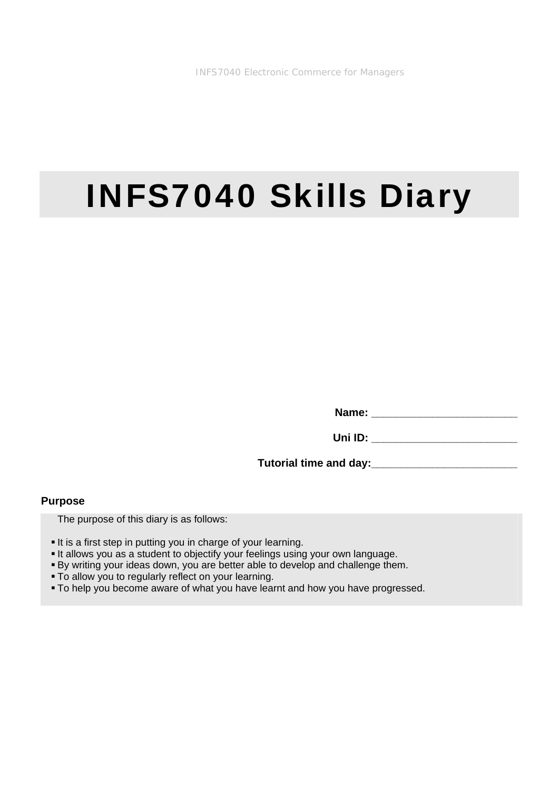# INFS7040 Skills Diary

**Name: \_\_\_\_\_\_\_\_\_\_\_\_\_\_\_\_\_\_\_\_\_\_\_\_** 

**Uni ID: \_\_\_\_\_\_\_\_\_\_\_\_\_\_\_\_\_\_\_\_\_\_\_\_** 

**Tutorial time and day:\_\_\_\_\_\_\_\_\_\_\_\_\_\_\_\_\_\_\_\_\_\_\_\_** 

#### **Purpose**

The purpose of this diary is as follows:

- It is a first step in putting you in charge of your learning.
- It allows you as a student to objectify your feelings using your own language.
- By writing your ideas down, you are better able to develop and challenge them.
- To allow you to regularly reflect on your learning.
- To help you become aware of what you have learnt and how you have progressed.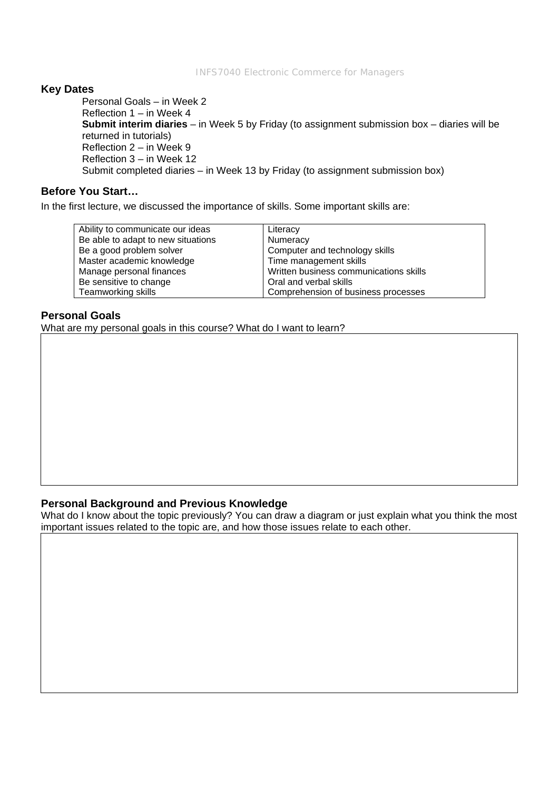### **Key Dates**

Personal Goals – in Week 2 Reflection 1 – in Week 4 **Submit interim diaries** – in Week 5 by Friday (to assignment submission box – diaries will be returned in tutorials) Reflection 2 – in Week 9 Reflection 3 – in Week 12 Submit completed diaries – in Week 13 by Friday (to assignment submission box)

## **Before You Start…**

In the first lecture, we discussed the importance of skills. Some important skills are:

| Ability to communicate our ideas   | Literacy                               |
|------------------------------------|----------------------------------------|
| Be able to adapt to new situations | Numeracy                               |
| Be a good problem solver           | Computer and technology skills         |
| Master academic knowledge          | Time management skills                 |
| Manage personal finances           | Written business communications skills |
| Be sensitive to change             | Oral and verbal skills                 |
| Teamworking skills                 | Comprehension of business processes    |
|                                    |                                        |

## **Personal Goals**

What are my personal goals in this course? What do I want to learn?

### **Personal Background and Previous Knowledge**

What do I know about the topic previously? You can draw a diagram or just explain what you think the most important issues related to the topic are, and how those issues relate to each other.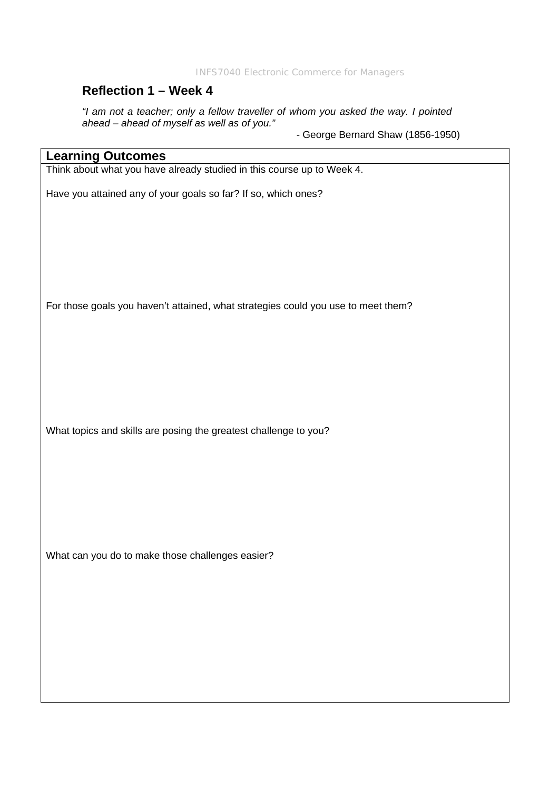INFS7040 Electronic Commerce for Managers

# **Reflection 1 – Week 4**

*"I am not a teacher; only a fellow traveller of whom you asked the way. I pointed ahead – ahead of myself as well as of you."* 

- George Bernard Shaw (1856-1950)

## **Learning Outcomes**

Think about what you have already studied in this course up to Week 4.

Have you attained any of your goals so far? If so, which ones?

For those goals you haven't attained, what strategies could you use to meet them?

What topics and skills are posing the greatest challenge to you?

What can you do to make those challenges easier?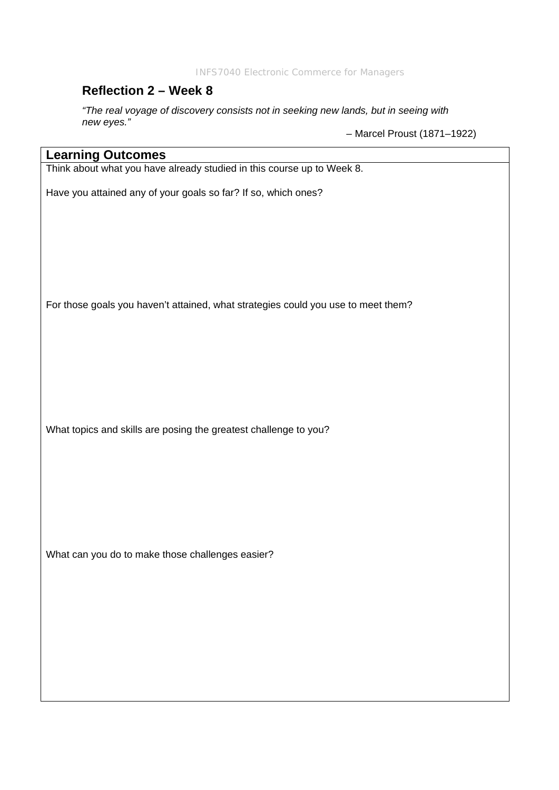INFS7040 Electronic Commerce for Managers

## **Reflection 2 – Week 8**

*"The real voyage of discovery consists not in seeking new lands, but in seeing with new eyes."* 

– Marcel Proust (1871–1922)

## **Learning Outcomes**

Think about what you have already studied in this course up to Week 8.

Have you attained any of your goals so far? If so, which ones?

For those goals you haven't attained, what strategies could you use to meet them?

What topics and skills are posing the greatest challenge to you?

What can you do to make those challenges easier?